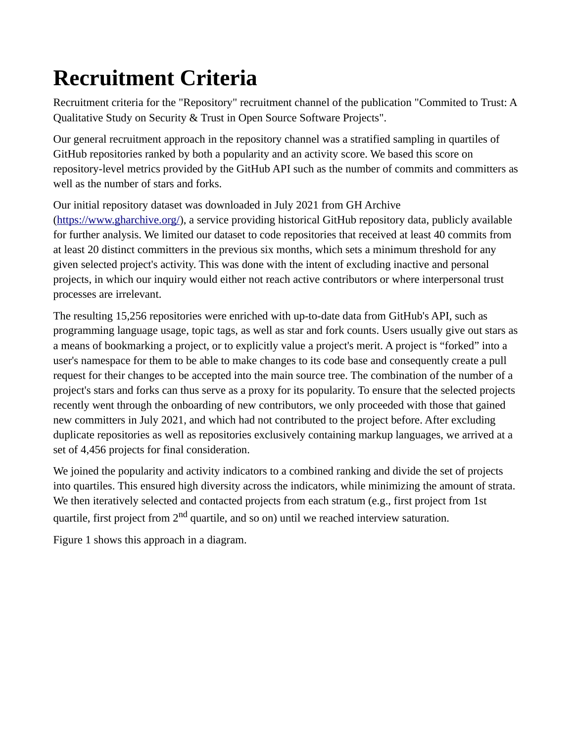## **Recruitment Criteria**

Recruitment criteria for the "Repository" recruitment channel of the publication "Commited to Trust: A Qualitative Study on Security & Trust in Open Source Software Projects".

Our general recruitment approach in the repository channel was a stratified sampling in quartiles of GitHub repositories ranked by both a popularity and an activity score. We based this score on repository-level metrics provided by the GitHub API such as the number of commits and committers as well as the number of stars and forks.

Our initial repository dataset was downloaded in July 2021 from GH Archive ([https://www.gharchive.org/\)](https://www.gharchive.org/%7D), a service providing historical GitHub repository data, publicly available for further analysis. We limited our dataset to code repositories that received at least 40 commits from at least 20 distinct committers in the previous six months, which sets a minimum threshold for any given selected project's activity. This was done with the intent of excluding inactive and personal projects, in which our inquiry would either not reach active contributors or where interpersonal trust processes are irrelevant.

The resulting 15,256 repositories were enriched with up-to-date data from GitHub's API, such as programming language usage, topic tags, as well as star and fork counts. Users usually give out stars as a means of bookmarking a project, or to explicitly value a project's merit. A project is "forked" into a user's namespace for them to be able to make changes to its code base and consequently create a pull request for their changes to be accepted into the main source tree. The combination of the number of a project's stars and forks can thus serve as a proxy for its popularity. To ensure that the selected projects recently went through the onboarding of new contributors, we only proceeded with those that gained new committers in July 2021, and which had not contributed to the project before. After excluding duplicate repositories as well as repositories exclusively containing markup languages, we arrived at a set of 4,456 projects for final consideration.

We joined the popularity and activity indicators to a combined ranking and divide the set of projects into quartiles. This ensured high diversity across the indicators, while minimizing the amount of strata. We then iteratively selected and contacted projects from each stratum (e.g., first project from 1st quartile, first project from 2<sup>nd</sup> quartile, and so on) until we reached interview saturation.

Figure 1 shows this approach in a diagram.